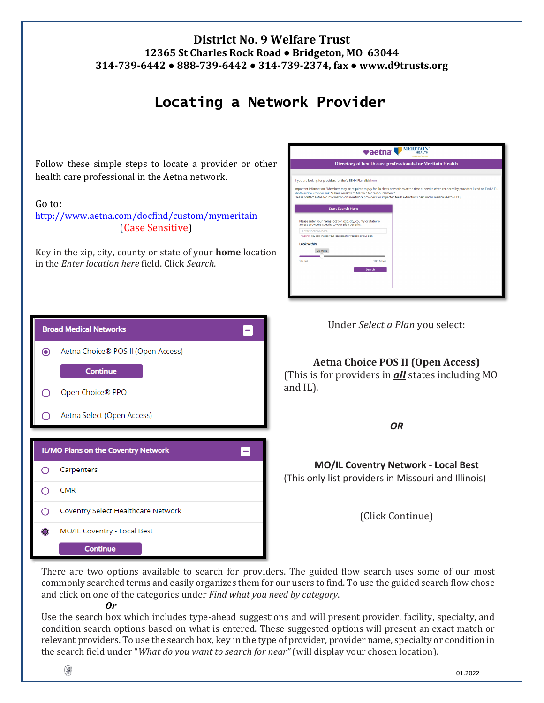## **District No. 9 Welfare Trust 12365 St Charles Rock Road ● Bridgeton, MO 63044 314-739-6442 ● 888-739-6442 ● 314-739-2374, fax ● www.d9trusts.org**

## **Locating a Network Provider**

Follow these simple steps to locate a provider or other health care professional in the Aetna network.

## Go to:

<http://www.aetna.com/docfind/custom/mymeritain> (Case Sensitive)

Key in the zip, city, county or state of your **home** location in the *Enter location here* field. Click *Search*.

| <b>MERITAI</b><br>vaetna<br><b>HEALTH</b><br><b>An Artist Company</b>                                                                      |                                                                                                                                                                                                                                                                                        |  |  |  |  |  |  |  |
|--------------------------------------------------------------------------------------------------------------------------------------------|----------------------------------------------------------------------------------------------------------------------------------------------------------------------------------------------------------------------------------------------------------------------------------------|--|--|--|--|--|--|--|
| Directory of health care professionals for Meritain Health                                                                                 |                                                                                                                                                                                                                                                                                        |  |  |  |  |  |  |  |
|                                                                                                                                            |                                                                                                                                                                                                                                                                                        |  |  |  |  |  |  |  |
| If you are looking for providers for the V-BENN Plan click here                                                                            |                                                                                                                                                                                                                                                                                        |  |  |  |  |  |  |  |
| Shot/Vaccine Provider link. Submit receipts to Meritain for reimbursement."                                                                | Important information: "Members may be required to pay for flu shots or vaccines at the time of service when rendered by providers listed on Find A Flu<br>Please contact Aetna for information on in-network providers for impacted teeth extractions paid under medical (Aetna PPO). |  |  |  |  |  |  |  |
| <b>Start Search Here</b>                                                                                                                   |                                                                                                                                                                                                                                                                                        |  |  |  |  |  |  |  |
| Please enter your home location (zip, city, county or state) to<br>access providers specific to your plan benefits.<br>Enter location here |                                                                                                                                                                                                                                                                                        |  |  |  |  |  |  |  |
| Traveling? You can change your location after you select your plan                                                                         |                                                                                                                                                                                                                                                                                        |  |  |  |  |  |  |  |
| Look within<br>25 Miles                                                                                                                    |                                                                                                                                                                                                                                                                                        |  |  |  |  |  |  |  |
| 0 Miles                                                                                                                                    | 100 Miles                                                                                                                                                                                                                                                                              |  |  |  |  |  |  |  |
|                                                                                                                                            | Search                                                                                                                                                                                                                                                                                 |  |  |  |  |  |  |  |
|                                                                                                                                            |                                                                                                                                                                                                                                                                                        |  |  |  |  |  |  |  |

|         | <b>Broad Medical Networks</b>       |
|---------|-------------------------------------|
| $\odot$ | Aetna Choice® POS II (Open Access)  |
|         | <b>Continue</b>                     |
|         | Open Choice® PPO                    |
|         | Aetna Select (Open Access)          |
|         |                                     |
|         |                                     |
|         | IL/MO Plans on the Coventry Network |
| ∩       | Carpenters                          |
|         | <b>CMR</b>                          |
|         | Coventry Select Healthcare Network  |

Under *Select a Plan* you select:

**Aetna Choice POS II (Open Access)** (This is for providers in *all* states including MO and IL).

*OR*

**MO/IL Coventry Network - Local Best** (This only list providers in Missouri and Illinois)

(Click Continue)

There are two options available to search for providers. The guided flow search uses some of our most commonly searched terms and easily organizes them for our users to find. To use the guided search flow chose and click on one of the categories under *Find what you need by category*.

*Or*

Continue

Use the search box which includes type-ahead suggestions and will present provider, facility, specialty, and condition search options based on what is entered. These suggested options will present an exact match or relevant providers. To use the search box, key in the type of provider, provider name, specialty or condition in the search field under "*What do you want to search for near"* (will display your chosen location).